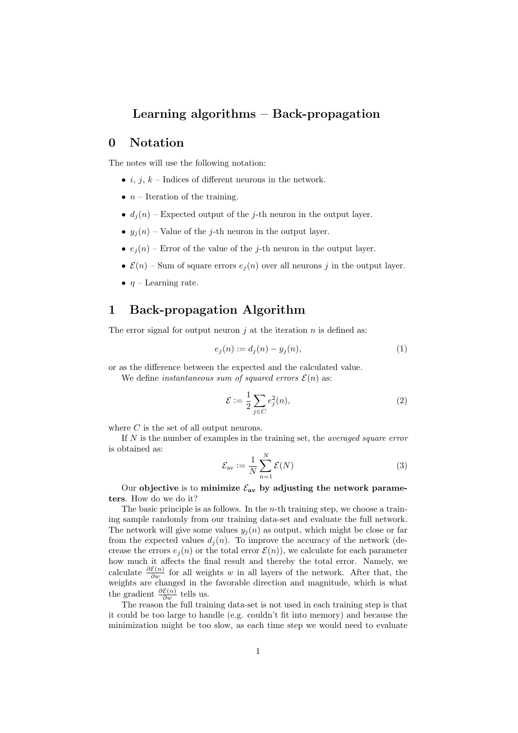# Learning algorithms – Back-propagation

# 0 Notation

The notes will use the following notation:

- *i*, *j*, *k* Indices of different neurons in the network.
- $n-$  Iteration of the training.
- $d_i(n)$  Expected output of the j-th neuron in the output layer.
- $y_j(n)$  Value of the j-th neuron in the output layer.
- $e_j(n)$  Error of the value of the j-th neuron in the output layer.
- $\mathcal{E}(n)$  Sum of square errors  $e_i(n)$  over all neurons j in the output layer.
- $\eta$  Learning rate.

# 1 Back-propagation Algorithm

The error signal for output neuron  $i$  at the iteration  $n$  is defined as:

$$
e_j(n) := d_j(n) - y_j(n),
$$
\n(1)

or as the difference between the expected and the calculated value.

We define *instantaneous sum of squared errors*  $\mathcal{E}(n)$  as:

$$
\mathcal{E} := \frac{1}{2} \sum_{j \in C} e_j^2(n),\tag{2}
$$

where  $C$  is the set of all output neurons.

If  $N$  is the number of examples in the training set, the *averaged square error* is obtained as:

$$
\mathcal{E}_{\text{av}} := \frac{1}{N} \sum_{n=1}^{N} \mathcal{E}(N) \tag{3}
$$

Our objective is to minimize  $\mathcal{E}_{av}$  by adjusting the network parameters. How do we do it?

The basic principle is as follows. In the *n*-th training step, we choose a training sample randomly from our training data-set and evaluate the full network. The network will give some values  $y_i(n)$  as output, which might be close or far from the expected values  $d_i(n)$ . To improve the accuracy of the network (decrease the errors  $e_j(n)$  or the total error  $\mathcal{E}(n)$ , we calculate for each parameter how much it affects the final result and thereby the total error. Namely, we calculate  $\frac{\partial \mathcal{E}(n)}{\partial w}$  for all weights w in all layers of the network. After that, the weights are changed in the favorable direction and magnitude, which is what the gradient  $\frac{\partial \mathcal{E}(n)}{\partial w}$  tells us.

The reason the full training data-set is not used in each training step is that it could be too large to handle (e.g. couldn't fit into memory) and because the minimization might be too slow, as each time step we would need to evaluate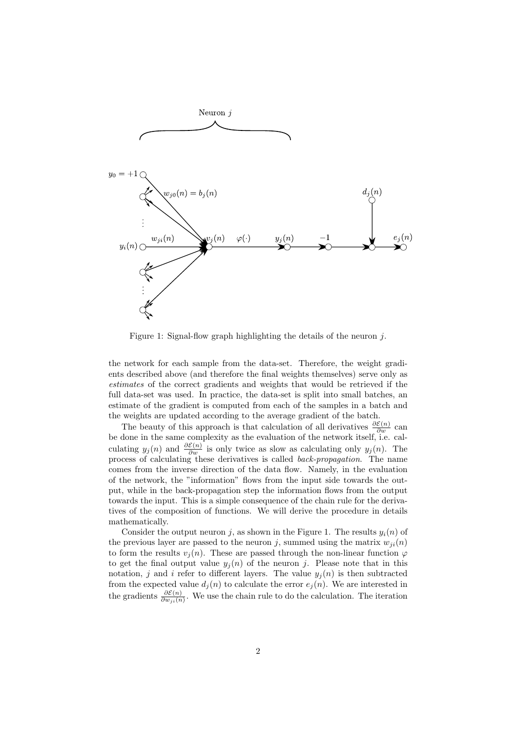

Figure 1: Signal-flow graph highlighting the details of the neuron j.

the network for each sample from the data-set. Therefore, the weight gradients described above (and therefore the final weights themselves) serve only as estimates of the correct gradients and weights that would be retrieved if the full data-set was used. In practice, the data-set is split into small batches, an estimate of the gradient is computed from each of the samples in a batch and the weights are updated according to the average gradient of the batch.

The beauty of this approach is that calculation of all derivatives  $\frac{\partial \mathcal{E}(n)}{\partial w}$  can be done in the same complexity as the evaluation of the network itself, i.e. calculating  $y_j(n)$  and  $\frac{\partial \mathcal{E}(n)}{\partial w}$  is only twice as slow as calculating only  $y_j(n)$ . The process of calculating these derivatives is called back-propagation. The name comes from the inverse direction of the data flow. Namely, in the evaluation of the network, the "information" flows from the input side towards the output, while in the back-propagation step the information flows from the output towards the input. This is a simple consequence of the chain rule for the derivatives of the composition of functions. We will derive the procedure in details mathematically.

Consider the output neuron j, as shown in the Figure 1. The results  $y_i(n)$  of the previous layer are passed to the neuron j, summed using the matrix  $w_{ii}(n)$ to form the results  $v_i(n)$ . These are passed through the non-linear function  $\varphi$ to get the final output value  $y_i(n)$  of the neuron j. Please note that in this notation, j and i refer to different layers. The value  $y_i(n)$  is then subtracted from the expected value  $d_j(n)$  to calculate the error  $e_j(n)$ . We are interested in the gradients  $\frac{\partial \mathcal{E}(n)}{\partial w_{ji}(n)}$ . We use the chain rule to do the calculation. The iteration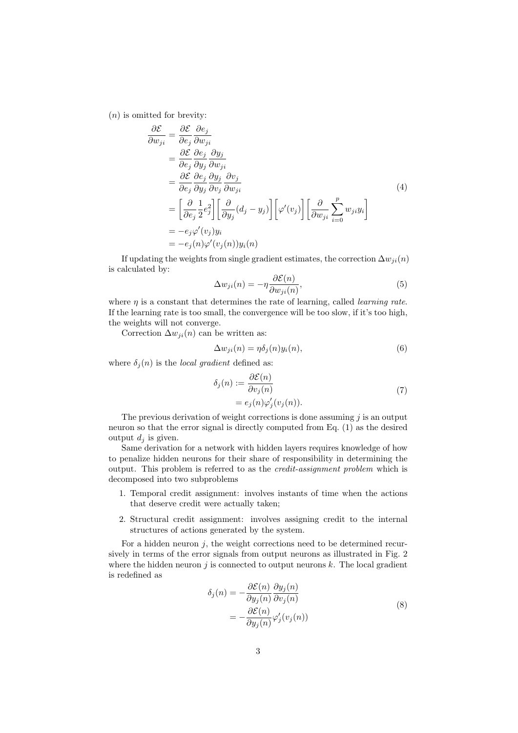$(n)$  is omitted for brevity:

$$
\frac{\partial \mathcal{E}}{\partial w_{ji}} = \frac{\partial \mathcal{E}}{\partial e_j} \frac{\partial e_j}{\partial w_{ji}} \n= \frac{\partial \mathcal{E}}{\partial e_j} \frac{\partial e_j}{\partial y_j} \frac{\partial y_j}{\partial w_{ji}} \n= \frac{\partial \mathcal{E}}{\partial e_j} \frac{\partial e_j}{\partial y_j} \frac{\partial y_j}{\partial v_j} \frac{\partial v_j}{\partial w_{ji}} \n= \left[ \frac{\partial}{\partial e_j} \frac{1}{2} e_j^2 \right] \left[ \frac{\partial}{\partial y_j} (d_j - y_j) \right] \left[ \varphi'(v_j) \right] \left[ \frac{\partial}{\partial w_{ji}} \sum_{i=0}^p w_{ji} y_i \right] \n= -e_j \varphi'(v_j) y_i \n= -e_j(n) \varphi'(v_j(n)) y_i(n)
$$
\n(4)

If updating the weights from single gradient estimates, the correction  $\Delta w_{ji}(n)$ is calculated by:

$$
\Delta w_{ji}(n) = -\eta \frac{\partial \mathcal{E}(n)}{\partial w_{ji}(n)},\tag{5}
$$

where  $\eta$  is a constant that determines the rate of learning, called *learning rate*. If the learning rate is too small, the convergence will be too slow, if it's too high, the weights will not converge.

Correction  $\Delta w_{ji}(n)$  can be written as:

$$
\Delta w_{ji}(n) = \eta \delta_j(n) y_i(n),\tag{6}
$$

where  $\delta_i(n)$  is the *local gradient* defined as:

$$
\delta_j(n) := \frac{\partial \mathcal{E}(n)}{\partial v_j(n)}
$$
  
=  $e_j(n)\varphi'_j(v_j(n)).$  (7)

The previous derivation of weight corrections is done assuming  $j$  is an output neuron so that the error signal is directly computed from Eq. (1) as the desired output  $d_i$  is given.

Same derivation for a network with hidden layers requires knowledge of how to penalize hidden neurons for their share of responsibility in determining the output. This problem is referred to as the credit-assignment problem which is decomposed into two subproblems

- 1. Temporal credit assignment: involves instants of time when the actions that deserve credit were actually taken;
- 2. Structural credit assignment: involves assigning credit to the internal structures of actions generated by the system.

For a hidden neuron  $j$ , the weight corrections need to be determined recursively in terms of the error signals from output neurons as illustrated in Fig. 2 where the hidden neuron  $j$  is connected to output neurons  $k$ . The local gradient is redefined as

$$
\delta_j(n) = -\frac{\partial \mathcal{E}(n)}{\partial y_j(n)} \frac{\partial y_j(n)}{\partial v_j(n)}
$$
  
= 
$$
-\frac{\partial \mathcal{E}(n)}{\partial y_j(n)} \varphi'_j(v_j(n))
$$
 (8)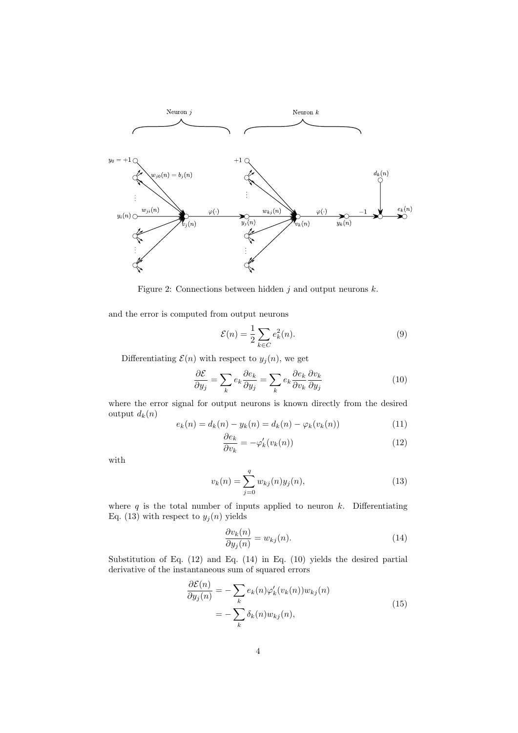

Figure 2: Connections between hidden  $j$  and output neurons  $k$ .

and the error is computed from output neurons

$$
\mathcal{E}(n) = \frac{1}{2} \sum_{k \in C} e_k^2(n). \tag{9}
$$

Differentiating  $\mathcal{E}(n)$  with respect to  $y_j(n)$ , we get

$$
\frac{\partial \mathcal{E}}{\partial y_j} = \sum_k e_k \frac{\partial e_k}{\partial y_j} = \sum_k e_k \frac{\partial e_k}{\partial v_k} \frac{\partial v_k}{\partial y_j}
$$
(10)

where the error signal for output neurons is known directly from the desired output  $d_k(n)$ 

$$
e_k(n) = d_k(n) - y_k(n) = d_k(n) - \varphi_k(v_k(n))
$$
\n(11)

$$
\frac{\partial e_k}{\partial v_k} = -\varphi'_k(v_k(n))\tag{12}
$$

with

$$
v_k(n) = \sum_{j=0}^{q} w_{kj}(n)y_j(n),
$$
\n(13)

where  $q$  is the total number of inputs applied to neuron  $k$ . Differentiating Eq. (13) with respect to  $y_j(n)$  yields

$$
\frac{\partial v_k(n)}{\partial y_j(n)} = w_{kj}(n). \tag{14}
$$

Substitution of Eq. (12) and Eq. (14) in Eq. (10) yields the desired partial derivative of the instantaneous sum of squared errors

$$
\frac{\partial \mathcal{E}(n)}{\partial y_j(n)} = -\sum_k e_k(n)\varphi'_k(v_k(n))w_{kj}(n)
$$

$$
= -\sum_k \delta_k(n)w_{kj}(n),
$$
(15)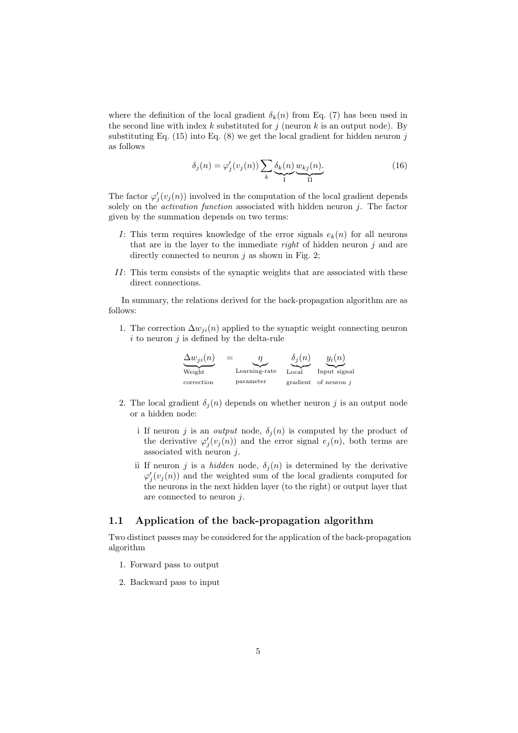where the definition of the local gradient  $\delta_k(n)$  from Eq. (7) has been used in the second line with index  $k$  substituted for  $j$  (neuron  $k$  is an output node). By substituting Eq.  $(15)$  into Eq.  $(8)$  we get the local gradient for hidden neuron j as follows

$$
\delta_j(n) = \varphi_j'(v_j(n)) \sum_k \underbrace{\delta_k(n)}_I \underbrace{w_{kj}(n)}_I \tag{16}
$$

The factor  $\varphi'_j(v_j(n))$  involved in the computation of the local gradient depends solely on the *activation function* associated with hidden neuron  $j$ . The factor given by the summation depends on two terms:

- I: This term requires knowledge of the error signals  $e_k(n)$  for all neurons that are in the layer to the immediate *right* of hidden neuron  $j$  and are directly connected to neuron  $j$  as shown in Fig. 2;
- II: This term consists of the synaptic weights that are associated with these direct connections.

In summary, the relations derived for the back-propagation algorithm are as follows:

1. The correction  $\Delta w_{ji}(n)$  applied to the synaptic weight connecting neuron  $i$  to neuron  $j$  is defined by the delta-rule

| $\Delta w_{ii}(n)$ | $=$<br>n      | $\delta_i(n)$ | $y_i(n)$               |
|--------------------|---------------|---------------|------------------------|
| Weight             | Learning-rate | Local         | Input signal           |
| correction         | parameter     |               | gradient of neuron $j$ |

- 2. The local gradient  $\delta_i(n)$  depends on whether neuron j is an output node or a hidden node:
	- i If neuron j is an *output* node,  $\delta_j(n)$  is computed by the product of the derivative  $\varphi'_j(v_j(n))$  and the error signal  $e_j(n)$ , both terms are associated with neuron  $j$ .
	- ii If neuron j is a *hidden* node,  $\delta_j(n)$  is determined by the derivative  $\varphi'_j(v_j(n))$  and the weighted sum of the local gradients computed for the neurons in the next hidden layer (to the right) or output layer that are connected to neuron j.

### 1.1 Application of the back-propagation algorithm

Two distinct passes may be considered for the application of the back-propagation algorithm

- 1. Forward pass to output
- 2. Backward pass to input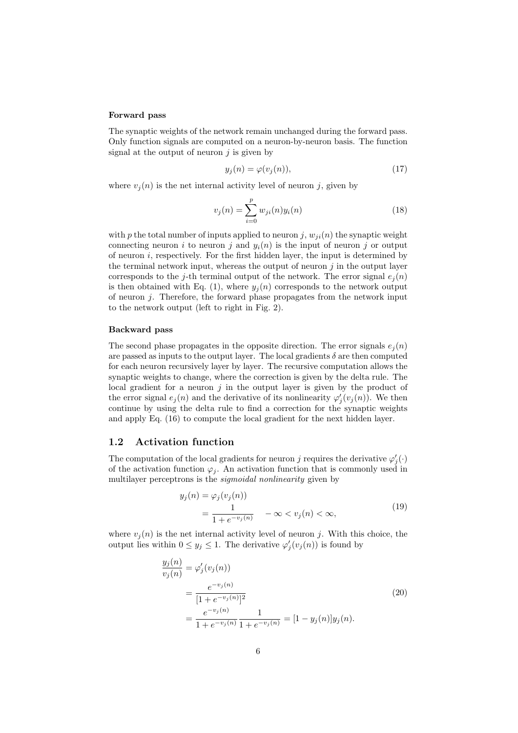#### Forward pass

The synaptic weights of the network remain unchanged during the forward pass. Only function signals are computed on a neuron-by-neuron basis. The function signal at the output of neuron  $j$  is given by

$$
y_j(n) = \varphi(v_j(n)),\tag{17}
$$

where  $v_j(n)$  is the net internal activity level of neuron j, given by

$$
v_j(n) = \sum_{i=0}^{p} w_{ji}(n) y_i(n)
$$
 (18)

with p the total number of inputs applied to neuron j,  $w_{ii}(n)$  the synaptic weight connecting neuron i to neuron j and  $y_i(n)$  is the input of neuron j or output of neuron  $i$ , respectively. For the first hidden layer, the input is determined by the terminal network input, whereas the output of neuron  $j$  in the output layer corresponds to the j-th terminal output of the network. The error signal  $e_i(n)$ is then obtained with Eq. (1), where  $y_j(n)$  corresponds to the network output of neuron  $j$ . Therefore, the forward phase propagates from the network input to the network output (left to right in Fig. 2).

### Backward pass

The second phase propagates in the opposite direction. The error signals  $e_i(n)$ are passed as inputs to the output layer. The local gradients  $\delta$  are then computed for each neuron recursively layer by layer. The recursive computation allows the synaptic weights to change, where the correction is given by the delta rule. The local gradient for a neuron  $j$  in the output layer is given by the product of the error signal  $e_j(n)$  and the derivative of its nonlinearity  $\varphi'_j(v_j(n))$ . We then continue by using the delta rule to find a correction for the synaptic weights and apply Eq. (16) to compute the local gradient for the next hidden layer.

## 1.2 Activation function

The computation of the local gradients for neuron j requires the derivative  $\varphi'_j(\cdot)$ of the activation function  $\varphi_j$ . An activation function that is commonly used in multilayer perceptrons is the sigmoidal nonlinearity given by

$$
y_j(n) = \varphi_j(v_j(n))
$$
  
= 
$$
\frac{1}{1 + e^{-v_j(n)}} \quad -\infty < v_j(n) < \infty,
$$
 (19)

where  $v_j(n)$  is the net internal activity level of neuron j. With this choice, the output lies within  $0 \le y_j \le 1$ . The derivative  $\varphi'_j(v_j(n))$  is found by

$$
\frac{y_j(n)}{v_j(n)} = \varphi'_j(v_j(n))
$$
\n
$$
= \frac{e^{-v_j(n)}}{[1 + e^{-v_j(n)}]^2}
$$
\n
$$
= \frac{e^{-v_j(n)}}{1 + e^{-v_j(n)}} \frac{1}{1 + e^{-v_j(n)}} = [1 - y_j(n)]y_j(n).
$$
\n(20)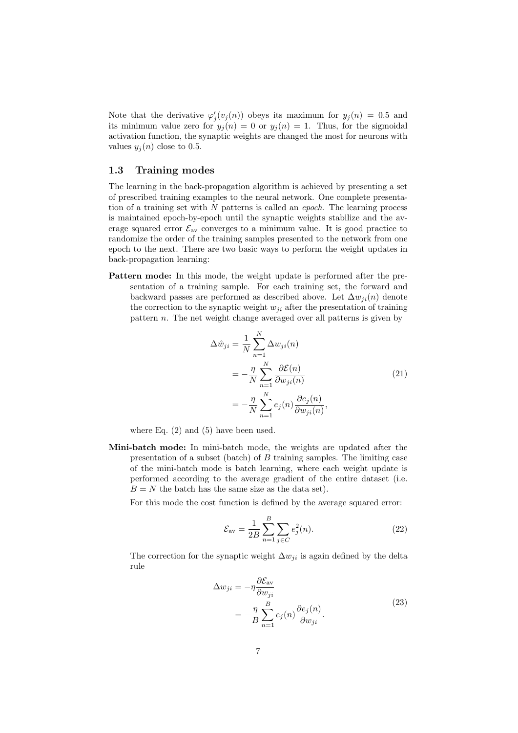Note that the derivative  $\varphi'_j(v_j(n))$  obeys its maximum for  $y_j(n) = 0.5$  and its minimum value zero for  $y_i(n) = 0$  or  $y_i(n) = 1$ . Thus, for the sigmoidal activation function, the synaptic weights are changed the most for neurons with values  $y_i(n)$  close to 0.5.

### 1.3 Training modes

The learning in the back-propagation algorithm is achieved by presenting a set of prescribed training examples to the neural network. One complete presentation of a training set with N patterns is called an *epoch*. The learning process is maintained epoch-by-epoch until the synaptic weights stabilize and the average squared error  $\mathcal{E}_{av}$  converges to a minimum value. It is good practice to randomize the order of the training samples presented to the network from one epoch to the next. There are two basic ways to perform the weight updates in back-propagation learning:

Pattern mode: In this mode, the weight update is performed after the presentation of a training sample. For each training set, the forward and backward passes are performed as described above. Let  $\Delta w_{ii}(n)$  denote the correction to the synaptic weight  $w_{ji}$  after the presentation of training pattern n. The net weight change averaged over all patterns is given by

$$
\Delta \hat{w}_{ji} = \frac{1}{N} \sum_{n=1}^{N} \Delta w_{ji}(n)
$$
  
= 
$$
-\frac{\eta}{N} \sum_{n=1}^{N} \frac{\partial \mathcal{E}(n)}{\partial w_{ji}(n)}
$$
  
= 
$$
-\frac{\eta}{N} \sum_{n=1}^{N} e_j(n) \frac{\partial e_j(n)}{\partial w_{ji}(n)},
$$
 (21)

where Eq. (2) and (5) have been used.

Mini-batch mode: In mini-batch mode, the weights are updated after the presentation of a subset (batch) of  $B$  training samples. The limiting case of the mini-batch mode is batch learning, where each weight update is performed according to the average gradient of the entire dataset (i.e.  $B = N$  the batch has the same size as the data set).

For this mode the cost function is defined by the average squared error:

$$
\mathcal{E}_{\text{av}} = \frac{1}{2B} \sum_{n=1}^{B} \sum_{j \in C} e_j^2(n).
$$
 (22)

The correction for the synaptic weight  $\Delta w_{ji}$  is again defined by the delta rule

$$
\Delta w_{ji} = -\eta \frac{\partial \mathcal{E}_{av}}{\partial w_{ji}} \n= -\frac{\eta}{B} \sum_{n=1}^{B} e_j(n) \frac{\partial e_j(n)}{\partial w_{ji}}.
$$
\n(23)